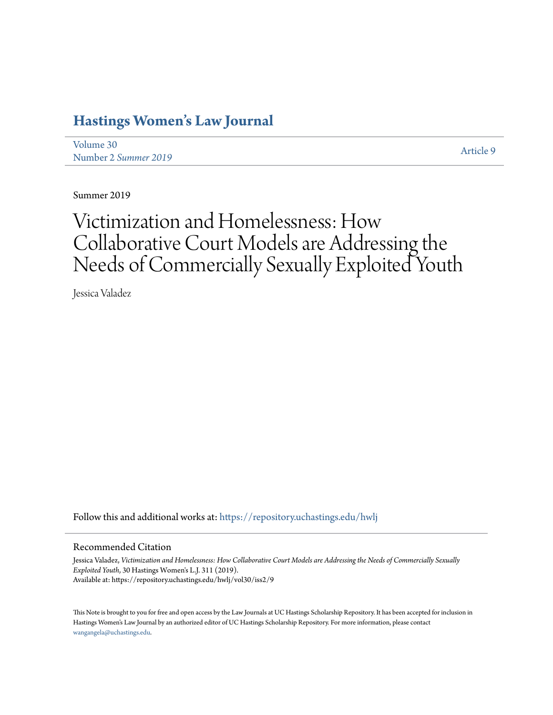# **[Hastings Women's Law Journal](https://repository.uchastings.edu/hwlj?utm_source=repository.uchastings.edu%2Fhwlj%2Fvol30%2Fiss2%2F9&utm_medium=PDF&utm_campaign=PDFCoverPages)**

[Volume 30](https://repository.uchastings.edu/hwlj/vol30?utm_source=repository.uchastings.edu%2Fhwlj%2Fvol30%2Fiss2%2F9&utm_medium=PDF&utm_campaign=PDFCoverPages) Number 2 *[Summer 2019](https://repository.uchastings.edu/hwlj/vol30/iss2?utm_source=repository.uchastings.edu%2Fhwlj%2Fvol30%2Fiss2%2F9&utm_medium=PDF&utm_campaign=PDFCoverPages)* [Article 9](https://repository.uchastings.edu/hwlj/vol30/iss2/9?utm_source=repository.uchastings.edu%2Fhwlj%2Fvol30%2Fiss2%2F9&utm_medium=PDF&utm_campaign=PDFCoverPages)

Summer 2019

# Victimization and Homelessness: How Collaborative Court Models are Addressing the Needs of Commercially Sexually Exploited Youth

Jessica Valadez

Follow this and additional works at: [https://repository.uchastings.edu/hwlj](https://repository.uchastings.edu/hwlj?utm_source=repository.uchastings.edu%2Fhwlj%2Fvol30%2Fiss2%2F9&utm_medium=PDF&utm_campaign=PDFCoverPages)

#### Recommended Citation

Jessica Valadez, *Victimization and Homelessness: How Collaborative Court Models are Addressing the Needs of Commercially Sexually Exploited Youth*, 30 Hastings Women's L.J. 311 (2019). Available at: https://repository.uchastings.edu/hwlj/vol30/iss2/9

This Note is brought to you for free and open access by the Law Journals at UC Hastings Scholarship Repository. It has been accepted for inclusion in Hastings Women's Law Journal by an authorized editor of UC Hastings Scholarship Repository. For more information, please contact [wangangela@uchastings.edu](mailto:wangangela@uchastings.edu).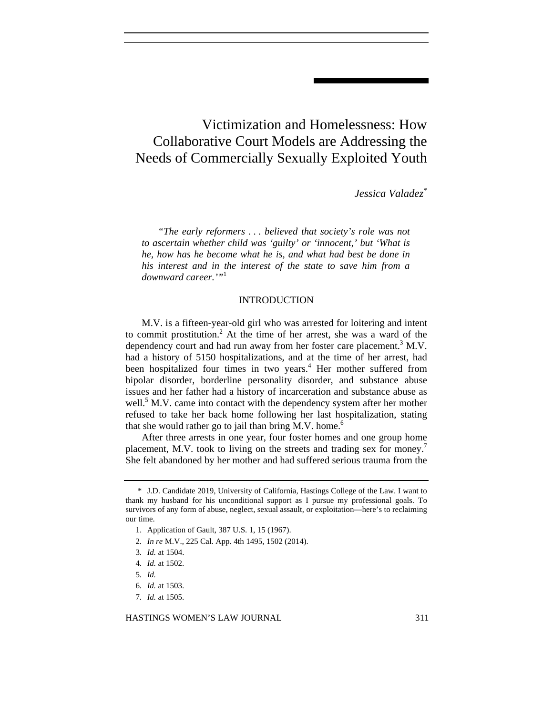# Victimization and Homelessness: How Collaborative Court Models are Addressing the Needs of Commercially Sexually Exploited Youth

*Jessica Valadez*\*

*"The early reformers . . . believed that society's role was not to ascertain whether child was 'guilty' or 'innocent,' but 'What is he, how has he become what he is, and what had best be done in his interest and in the interest of the state to save him from a downward career.'"*<sup>1</sup>

#### INTRODUCTION

M.V. is a fifteen-year-old girl who was arrested for loitering and intent to commit prostitution.<sup>2</sup> At the time of her arrest, she was a ward of the dependency court and had run away from her foster care placement.<sup>3</sup> M.V. had a history of 5150 hospitalizations, and at the time of her arrest, had been hospitalized four times in two years.<sup>4</sup> Her mother suffered from bipolar disorder, borderline personality disorder, and substance abuse issues and her father had a history of incarceration and substance abuse as well.<sup>5</sup> M.V. came into contact with the dependency system after her mother refused to take her back home following her last hospitalization, stating that she would rather go to jail than bring  $M.V.$  home.<sup>6</sup>

After three arrests in one year, four foster homes and one group home placement, M.V. took to living on the streets and trading sex for money.<sup>7</sup> She felt abandoned by her mother and had suffered serious trauma from the

7*. Id.* at 1505.

HASTINGS WOMEN'S LAW JOURNAL 311

 <sup>\*</sup> J.D. Candidate 2019, University of California, Hastings College of the Law. I want to thank my husband for his unconditional support as I pursue my professional goals. To survivors of any form of abuse, neglect, sexual assault, or exploitation—here's to reclaiming our time.

 <sup>1.</sup> Application of Gault, 387 U.S. 1, 15 (1967).

<sup>2</sup>*. In re* M.V., 225 Cal. App. 4th 1495, 1502 (2014).

<sup>3</sup>*. Id.* at 1504.

<sup>4</sup>*. Id.* at 1502.

<sup>5</sup>*. Id.*

<sup>6</sup>*. Id.* at 1503.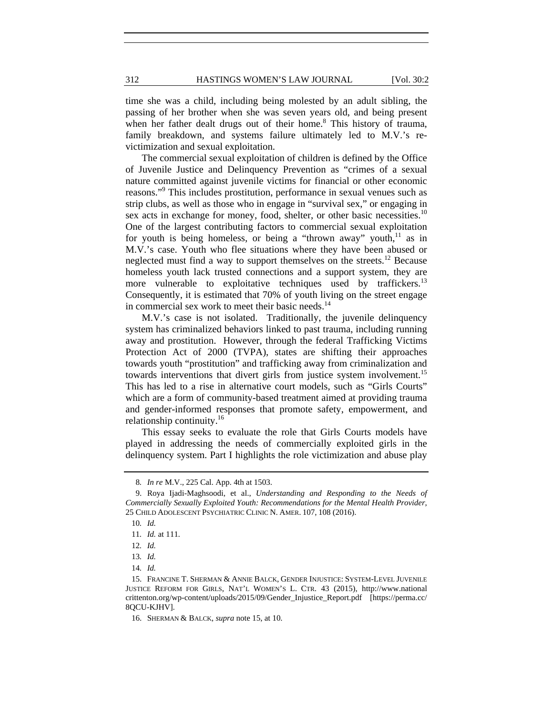time she was a child, including being molested by an adult sibling, the passing of her brother when she was seven years old, and being present when her father dealt drugs out of their home.<sup>8</sup> This history of trauma, family breakdown, and systems failure ultimately led to M.V.'s revictimization and sexual exploitation.

The commercial sexual exploitation of children is defined by the Office of Juvenile Justice and Delinquency Prevention as "crimes of a sexual nature committed against juvenile victims for financial or other economic reasons."<sup>9</sup> This includes prostitution, performance in sexual venues such as strip clubs, as well as those who in engage in "survival sex," or engaging in sex acts in exchange for money, food, shelter, or other basic necessities.<sup>10</sup> One of the largest contributing factors to commercial sexual exploitation for youth is being homeless, or being a "thrown away" youth, $11$  as in M.V.'s case. Youth who flee situations where they have been abused or neglected must find a way to support themselves on the streets.<sup>12</sup> Because homeless youth lack trusted connections and a support system, they are more vulnerable to exploitative techniques used by traffickers.<sup>13</sup> Consequently, it is estimated that 70% of youth living on the street engage in commercial sex work to meet their basic needs.<sup>14</sup>

M.V.'s case is not isolated. Traditionally, the juvenile delinquency system has criminalized behaviors linked to past trauma, including running away and prostitution. However, through the federal Trafficking Victims Protection Act of 2000 (TVPA), states are shifting their approaches towards youth "prostitution" and trafficking away from criminalization and towards interventions that divert girls from justice system involvement.<sup>15</sup> This has led to a rise in alternative court models, such as "Girls Courts" which are a form of community-based treatment aimed at providing trauma and gender-informed responses that promote safety, empowerment, and relationship continuity.<sup>16</sup>

This essay seeks to evaluate the role that Girls Courts models have played in addressing the needs of commercially exploited girls in the delinquency system. Part I highlights the role victimization and abuse play

<sup>8</sup>*. In re* M.V., 225 Cal. App. 4th at 1503.

 <sup>9.</sup> Roya Ijadi-Maghsoodi, et al., *Understanding and Responding to the Needs of Commercially Sexually Exploited Youth: Recommendations for the Mental Health Provider*, 25 CHILD ADOLESCENT PSYCHIATRIC CLINIC N. AMER. 107, 108 (2016).

<sup>10</sup>*. Id.* 

<sup>11</sup>*. Id.* at 111.

<sup>12</sup>*. Id.*

<sup>13</sup>*. Id.*

<sup>14</sup>*. Id.* 

 <sup>15.</sup> FRANCINE T. SHERMAN & ANNIE BALCK, GENDER INJUSTICE: SYSTEM-LEVEL JUVENILE JUSTICE REFORM FOR GIRLS, NAT'L WOMEN'S L. CTR. 43 (2015), http://www.national crittenton.org/wp-content/uploads/2015/09/Gender\_Injustice\_Report.pdf [https://perma.cc/ 8QCU-KJHV].

 <sup>16.</sup> SHERMAN & BALCK, *supra* note 15, at 10.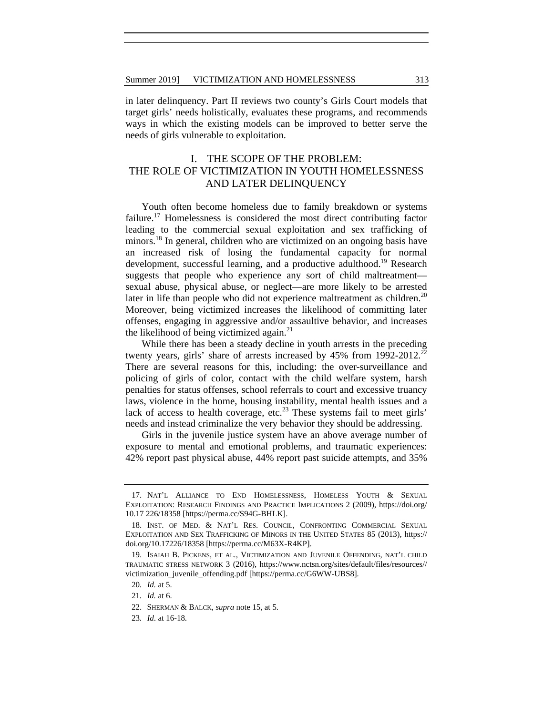in later delinquency. Part II reviews two county's Girls Court models that target girls' needs holistically, evaluates these programs, and recommends ways in which the existing models can be improved to better serve the needs of girls vulnerable to exploitation.

## I. THE SCOPE OF THE PROBLEM: THE ROLE OF VICTIMIZATION IN YOUTH HOMELESSNESS AND LATER DELINQUENCY

Youth often become homeless due to family breakdown or systems failure.<sup>17</sup> Homelessness is considered the most direct contributing factor leading to the commercial sexual exploitation and sex trafficking of minors.<sup>18</sup> In general, children who are victimized on an ongoing basis have an increased risk of losing the fundamental capacity for normal development, successful learning, and a productive adulthood.<sup>19</sup> Research suggests that people who experience any sort of child maltreatment sexual abuse, physical abuse, or neglect—are more likely to be arrested later in life than people who did not experience maltreatment as children.<sup>20</sup> Moreover, being victimized increases the likelihood of committing later offenses, engaging in aggressive and/or assaultive behavior, and increases the likelihood of being victimized again. $^{21}$ 

While there has been a steady decline in youth arrests in the preceding twenty years, girls' share of arrests increased by  $45\%$  from 1992-2012.<sup>22</sup> There are several reasons for this, including: the over-surveillance and policing of girls of color, contact with the child welfare system, harsh penalties for status offenses, school referrals to court and excessive truancy laws, violence in the home, housing instability, mental health issues and a lack of access to health coverage, etc.<sup>23</sup> These systems fail to meet girls' needs and instead criminalize the very behavior they should be addressing.

Girls in the juvenile justice system have an above average number of exposure to mental and emotional problems, and traumatic experiences: 42% report past physical abuse, 44% report past suicide attempts, and 35%

 <sup>17.</sup> NAT'L ALLIANCE TO END HOMELESSNESS, HOMELESS YOUTH & SEXUAL EXPLOITATION: RESEARCH FINDINGS AND PRACTICE IMPLICATIONS 2 (2009), https://doi.org/ 10.17 226/18358 [https://perma.cc/S94G-BHLK].

 <sup>18.</sup> INST. OF MED. & NAT'L RES. COUNCIL, CONFRONTING COMMERCIAL SEXUAL EXPLOITATION AND SEX TRAFFICKING OF MINORS IN THE UNITED STATES 85 (2013), https:// doi.org/10.17226/18358 [https://perma.cc/M63X-R4KP].

 <sup>19.</sup> ISAIAH B. PICKENS, ET AL., VICTIMIZATION AND JUVENILE OFFENDING, NAT'L CHILD TRAUMATIC STRESS NETWORK 3 (2016), https://www.nctsn.org/sites/default/files/resources// victimization\_juvenile\_offending.pdf [https://perma.cc/G6WW-UBS8].

<sup>20</sup>*. Id.* at 5.

<sup>21</sup>*. Id.* at 6.

 <sup>22.</sup> SHERMAN & BALCK, *supra* note 15, at 5.

<sup>23</sup>*. Id*. at 16-18.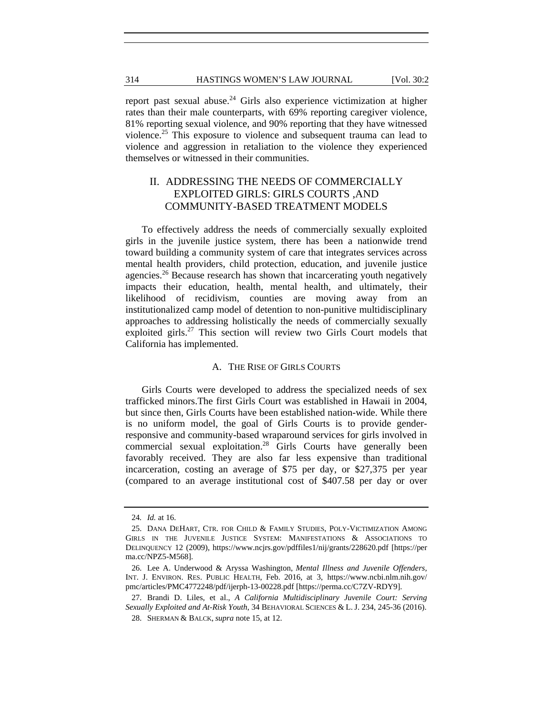report past sexual abuse.<sup>24</sup> Girls also experience victimization at higher rates than their male counterparts, with 69% reporting caregiver violence, 81% reporting sexual violence, and 90% reporting that they have witnessed violence.25 This exposure to violence and subsequent trauma can lead to violence and aggression in retaliation to the violence they experienced themselves or witnessed in their communities.

### II. ADDRESSING THE NEEDS OF COMMERCIALLY EXPLOITED GIRLS: GIRLS COURTS ,AND COMMUNITY-BASED TREATMENT MODELS

To effectively address the needs of commercially sexually exploited girls in the juvenile justice system, there has been a nationwide trend toward building a community system of care that integrates services across mental health providers, child protection, education, and juvenile justice agencies.<sup>26</sup> Because research has shown that incarcerating youth negatively impacts their education, health, mental health, and ultimately, their likelihood of recidivism, counties are moving away from an institutionalized camp model of detention to non-punitive multidisciplinary approaches to addressing holistically the needs of commercially sexually exploited girls.<sup>27</sup> This section will review two Girls Court models that California has implemented.

#### A. THE RISE OF GIRLS COURTS

Girls Courts were developed to address the specialized needs of sex trafficked minors.The first Girls Court was established in Hawaii in 2004, but since then, Girls Courts have been established nation-wide. While there is no uniform model, the goal of Girls Courts is to provide genderresponsive and community-based wraparound services for girls involved in commercial sexual exploitation.<sup>28</sup> Girls Courts have generally been favorably received. They are also far less expensive than traditional incarceration, costing an average of \$75 per day, or \$27,375 per year (compared to an average institutional cost of \$407.58 per day or over

<sup>24</sup>*. Id.* at 16.

 <sup>25.</sup> DANA DEHART, CTR. FOR CHILD & FAMILY STUDIES, POLY-VICTIMIZATION AMONG GIRLS IN THE JUVENILE JUSTICE SYSTEM: MANIFESTATIONS & ASSOCIATIONS TO DELINQUENCY 12 (2009), https://www.ncjrs.gov/pdffiles1/nij/grants/228620.pdf [https://per ma.cc/NPZ5-M568].

 <sup>26.</sup> Lee A. Underwood & Aryssa Washington, *Mental Illness and Juvenile Offenders,* INT. J. ENVIRON. RES. PUBLIC HEALTH, Feb. 2016, at 3, https://www.ncbi.nlm.nih.gov/ pmc/articles/PMC4772248/pdf/ijerph-13-00228.pdf [https://perma.cc/C7ZV-RDY9].

 <sup>27.</sup> Brandi D. Liles, et al., *A California Multidisciplinary Juvenile Court: Serving Sexually Exploited and At-Risk Youth*, 34 BEHAVIORAL SCIENCES & L. J. 234, 245-36 (2016).

 <sup>28.</sup> SHERMAN & BALCK, *supra* note 15, at 12.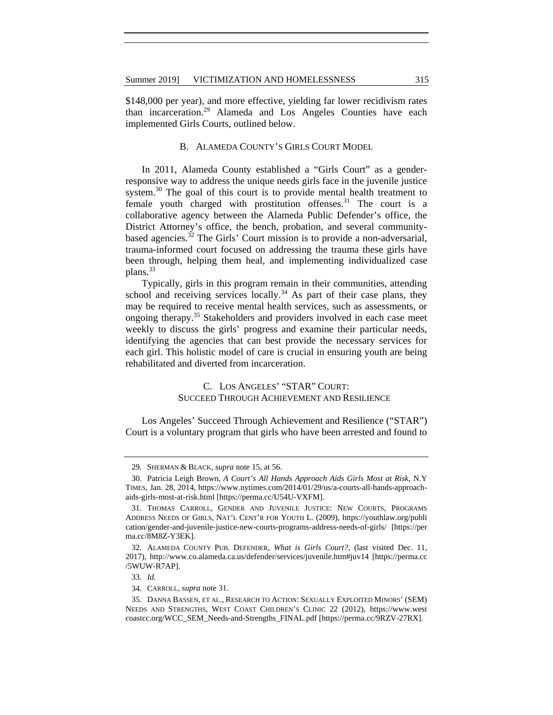\$148,000 per year), and more effective, yielding far lower recidivism rates than incarceration.29 Alameda and Los Angeles Counties have each implemented Girls Courts, outlined below.

#### B. ALAMEDA COUNTY'S GIRLS COURT MODEL

In 2011, Alameda County established a "Girls Court" as a genderresponsive way to address the unique needs girls face in the juvenile justice system.<sup>30</sup> The goal of this court is to provide mental health treatment to female youth charged with prostitution offenses.<sup>31</sup> The court is a collaborative agency between the Alameda Public Defender's office, the District Attorney's office, the bench, probation, and several communitybased agencies.<sup>32</sup> The Girls' Court mission is to provide a non-adversarial, trauma-informed court focused on addressing the trauma these girls have been through, helping them heal, and implementing individualized case plans.<sup>33</sup>

Typically, girls in this program remain in their communities, attending school and receiving services locally.<sup>34</sup> As part of their case plans, they may be required to receive mental health services, such as assessments, or ongoing therapy.<sup>35</sup> Stakeholders and providers involved in each case meet weekly to discuss the girls' progress and examine their particular needs, identifying the agencies that can best provide the necessary services for each girl. This holistic model of care is crucial in ensuring youth are being rehabilitated and diverted from incarceration.

#### C. LOS ANGELES' "STAR" COURT: SUCCEED THROUGH ACHIEVEMENT AND RESILIENCE

Los Angeles' Succeed Through Achievement and Resilience ("STAR") Court is a voluntary program that girls who have been arrested and found to

<sup>29</sup>*.* SHERMAN & BLACK, *supra* note 15, at 56.

 <sup>30.</sup> Patricia Leigh Brown, *A Court's All Hands Approach Aids Girls Most at Risk,* N.Y TIMES, Jan. 28, 2014, https://www.nytimes.com/2014/01/29/us/a-courts-all-hands-approachaids-girls-most-at-risk.html [https://perma.cc/U54U-VXFM].

 <sup>31.</sup> THOMAS CARROLL, GENDER AND JUVENILE JUSTICE: NEW COURTS, PROGRAMS ADDRESS NEEDS OF GIRLS, NAT'L CENT'R FOR YOUTH L. (2009), https://youthlaw.org/publi cation/gender-and-juvenile-justice-new-courts-programs-address-needs-of-girls/ [https://per ma.cc/8M8Z-Y3EK].

 <sup>32.</sup> ALAMEDA COUNTY PUB. DEFENDER, *What is Girls Court?*, (last visited Dec. 11, 2017), http://www.co.alameda.ca.us/defender/services/juvenile.htm#juv14 [https://perma.cc /5WUW-R7AP].

<sup>33</sup>*. Id.*

 <sup>34.</sup> CARROLL, *supra* note 31.

 <sup>35.</sup> DANNA BASSEN, ET AL., RESEARCH TO ACTION: SEXUALLY EXPLOITED MINORS' (SEM) NEEDS AND STRENGTHS, WEST COAST CHILDREN'S CLINIC 22 (2012), https://www.west coastcc.org/WCC\_SEM\_Needs-and-Strengths\_FINAL.pdf [https://perma.cc/9RZV-27RX].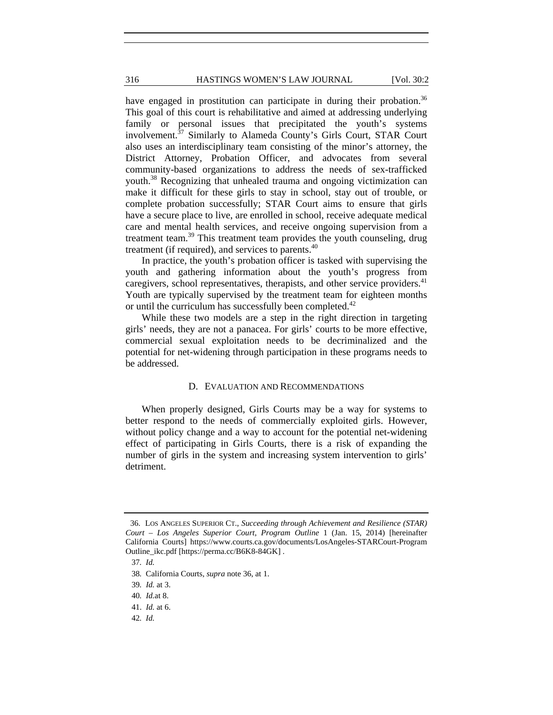#### 316 **HASTINGS WOMEN'S LAW JOURNAL** [Vol. 30:2

have engaged in prostitution can participate in during their probation.<sup>36</sup> This goal of this court is rehabilitative and aimed at addressing underlying family or personal issues that precipitated the youth's systems involvement.<sup>37</sup> Similarly to Alameda County's Girls Court, STAR Court also uses an interdisciplinary team consisting of the minor's attorney, the District Attorney, Probation Officer, and advocates from several community-based organizations to address the needs of sex-trafficked youth.38 Recognizing that unhealed trauma and ongoing victimization can make it difficult for these girls to stay in school, stay out of trouble, or complete probation successfully; STAR Court aims to ensure that girls have a secure place to live, are enrolled in school, receive adequate medical care and mental health services, and receive ongoing supervision from a treatment team.39 This treatment team provides the youth counseling, drug treatment (if required), and services to parents. $40$ 

In practice, the youth's probation officer is tasked with supervising the youth and gathering information about the youth's progress from caregivers, school representatives, therapists, and other service providers.<sup>41</sup> Youth are typically supervised by the treatment team for eighteen months or until the curriculum has successfully been completed.<sup>42</sup>

While these two models are a step in the right direction in targeting girls' needs, they are not a panacea. For girls' courts to be more effective, commercial sexual exploitation needs to be decriminalized and the potential for net-widening through participation in these programs needs to be addressed.

#### D. EVALUATION AND RECOMMENDATIONS

When properly designed, Girls Courts may be a way for systems to better respond to the needs of commercially exploited girls. However, without policy change and a way to account for the potential net-widening effect of participating in Girls Courts, there is a risk of expanding the number of girls in the system and increasing system intervention to girls' detriment.

 <sup>36.</sup> LOS ANGELES SUPERIOR CT., *Succeeding through Achievement and Resilience (STAR) Court – Los Angeles Superior Court*, *Program Outline* 1 (Jan. 15, 2014) [hereinafter California Courts] https://www.courts.ca.gov/documents/LosAngeles-STARCourt-Program Outline\_ikc.pdf [https://perma.cc/B6K8-84GK] .

37*. Id.* 

38*.* California Courts, *supra* note 36, at 1.

39*. Id.* at 3.

40*. Id.*at 8.

 <sup>41.</sup> *Id.* at 6.

42*. Id.*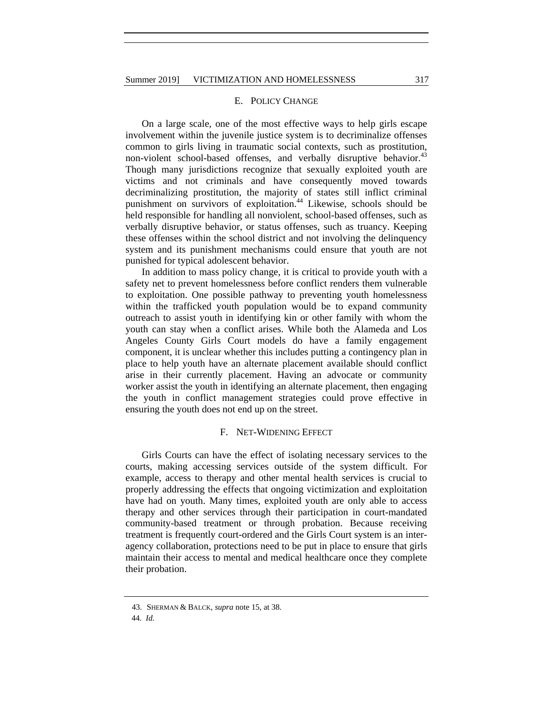#### E. POLICY CHANGE

On a large scale, one of the most effective ways to help girls escape involvement within the juvenile justice system is to decriminalize offenses common to girls living in traumatic social contexts, such as prostitution, non-violent school-based offenses, and verbally disruptive behavior.<sup>43</sup> Though many jurisdictions recognize that sexually exploited youth are victims and not criminals and have consequently moved towards decriminalizing prostitution, the majority of states still inflict criminal punishment on survivors of exploitation.<sup>44</sup> Likewise, schools should be held responsible for handling all nonviolent, school-based offenses, such as verbally disruptive behavior, or status offenses, such as truancy. Keeping these offenses within the school district and not involving the delinquency system and its punishment mechanisms could ensure that youth are not punished for typical adolescent behavior.

In addition to mass policy change, it is critical to provide youth with a safety net to prevent homelessness before conflict renders them vulnerable to exploitation. One possible pathway to preventing youth homelessness within the trafficked youth population would be to expand community outreach to assist youth in identifying kin or other family with whom the youth can stay when a conflict arises. While both the Alameda and Los Angeles County Girls Court models do have a family engagement component, it is unclear whether this includes putting a contingency plan in place to help youth have an alternate placement available should conflict arise in their currently placement. Having an advocate or community worker assist the youth in identifying an alternate placement, then engaging the youth in conflict management strategies could prove effective in ensuring the youth does not end up on the street.

#### F. NET-WIDENING EFFECT

Girls Courts can have the effect of isolating necessary services to the courts, making accessing services outside of the system difficult. For example, access to therapy and other mental health services is crucial to properly addressing the effects that ongoing victimization and exploitation have had on youth. Many times, exploited youth are only able to access therapy and other services through their participation in court-mandated community-based treatment or through probation. Because receiving treatment is frequently court-ordered and the Girls Court system is an interagency collaboration, protections need to be put in place to ensure that girls maintain their access to mental and medical healthcare once they complete their probation.

 <sup>43.</sup> SHERMAN & BALCK, *supra* note 15, at 38.

44*. Id.*